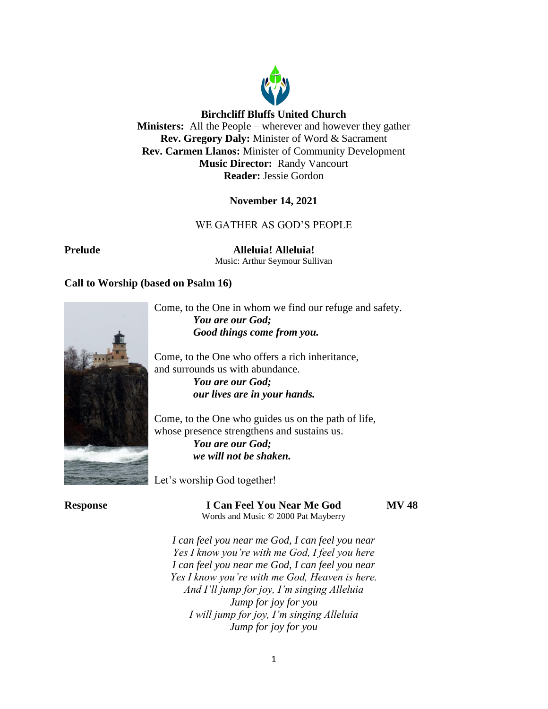

## **Birchcliff Bluffs United Church**

**Ministers:** All the People – wherever and however they gather **Rev. Gregory Daly:** Minister of Word & Sacrament **Rev. Carmen Llanos:** Minister of Community Development **Music Director:** Randy Vancourt **Reader:** Jessie Gordon

## **November 14, 2021**

# WE GATHER AS GOD'S PEOPLE

**Prelude Alleluia! Alleluia!** Music: Arthur Seymour Sullivan

## **Call to Worship (based on Psalm 16)**



Come, to the One in whom we find our refuge and safety. *You are our God; Good things come from you.*

Come, to the One who offers a rich inheritance, and surrounds us with abundance.

*You are our God; our lives are in your hands.*

Come, to the One who guides us on the path of life, whose presence strengthens and sustains us.

> *You are our God; we will not be shaken.*

Let's worship God together!

**Response I Can Feel You Near Me God MV 48**

Words and Music © 2000 Pat Mayberry

*I can feel you near me God, I can feel you near Yes I know you're with me God, I feel you here I can feel you near me God, I can feel you near Yes I know you're with me God, Heaven is here. And I'll jump for joy, I'm singing Alleluia Jump for joy for you I will jump for joy, I'm singing Alleluia Jump for joy for you*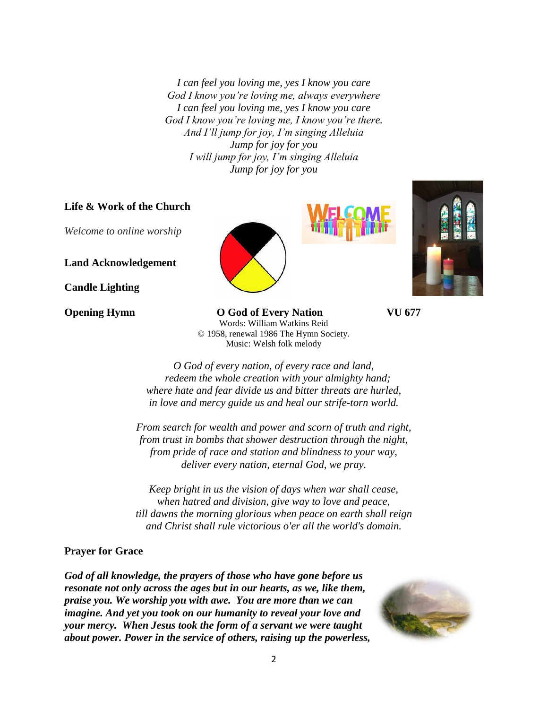*I can feel you loving me, yes I know you care God I know you're loving me, always everywhere I can feel you loving me, yes I know you care God I know you're loving me, I know you're there. And I'll jump for joy, I'm singing Alleluia Jump for joy for you I will jump for joy, I'm singing Alleluia Jump for joy for you*

# **Life & Work of the Church**

*Welcome to online worship*

**Land Acknowledgement**

**Candle Lighting**



**Opening Hymn O God of Every Nation VU 677** Words: William Watkins Reid © 1958, renewal 1986 The Hymn Society. Music: Welsh folk melody



*O God of every nation, of every race and land, redeem the whole creation with your almighty hand; where hate and fear divide us and bitter threats are hurled, in love and mercy guide us and heal our strife-torn world.*

*From search for wealth and power and scorn of truth and right, from trust in bombs that shower destruction through the night, from pride of race and station and blindness to your way, deliver every nation, eternal God, we pray.*

*Keep bright in us the vision of days when war shall cease, when hatred and division, give way to love and peace, till dawns the morning glorious when peace on earth shall reign and Christ shall rule victorious o'er all the world's domain.*

## **Prayer for Grace**

*God of all knowledge, the prayers of those who have gone before us resonate not only across the ages but in our hearts, as we, like them, praise you. We worship you with awe. You are more than we can imagine. And yet you took on our humanity to reveal your love and your mercy. When Jesus took the form of a servant we were taught about power. Power in the service of others, raising up the powerless,* 

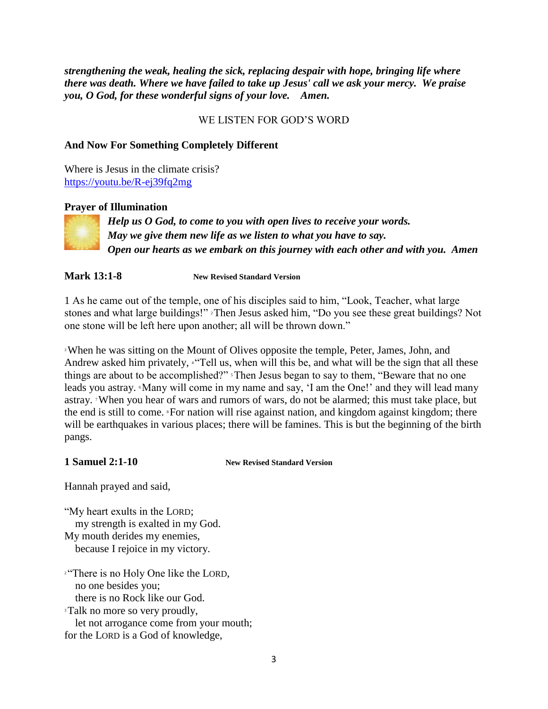*strengthening the weak, healing the sick, replacing despair with hope, bringing life where there was death. Where we have failed to take up Jesus' call we ask your mercy. We praise you, O God, for these wonderful signs of your love. Amen.*

# WE LISTEN FOR GOD'S WORD

# **And Now For Something Completely Different**

Where is Jesus in the climate crisis? <https://youtu.be/R-ej39fq2mg>

## **Prayer of Illumination**



*Help us O God, to come to you with open lives to receive your words. May we give them new life as we listen to what you have to say. Open our hearts as we embark on this journey with each other and with you. Amen*

**Mark 13:1-8 New Revised Standard Version**

1 As he came out of the temple, one of his disciples said to him, "Look, Teacher, what large stones and what large buildings!" <sup>2</sup>Then Jesus asked him, "Do you see these great buildings? Not one stone will be left here upon another; all will be thrown down."

<sup>3</sup>When he was sitting on the Mount of Olives opposite the temple, Peter, James, John, and Andrew asked him privately, "Tell us, when will this be, and what will be the sign that all these things are about to be accomplished?" <sup>5</sup>Then Jesus began to say to them, "Beware that no one leads you astray. Many will come in my name and say, 'I am the One!' and they will lead many astray. 7When you hear of wars and rumors of wars, do not be alarmed; this must take place, but the end is still to come. <sup>\*</sup>For nation will rise against nation, and kingdom against kingdom; there will be earthquakes in various places; there will be famines. This is but the beginning of the birth pangs.

**1 Samuel 2:1-10 New Revised Standard Version**

Hannah prayed and said,

"My heart exults in the LORD; my strength is exalted in my God. My mouth derides my enemies, because I rejoice in my victory.

<sup>2</sup> There is no Holy One like the LORD, no one besides you; there is no Rock like our God.

<sup>3</sup>Talk no more so very proudly, let not arrogance come from your mouth; for the LORD is a God of knowledge,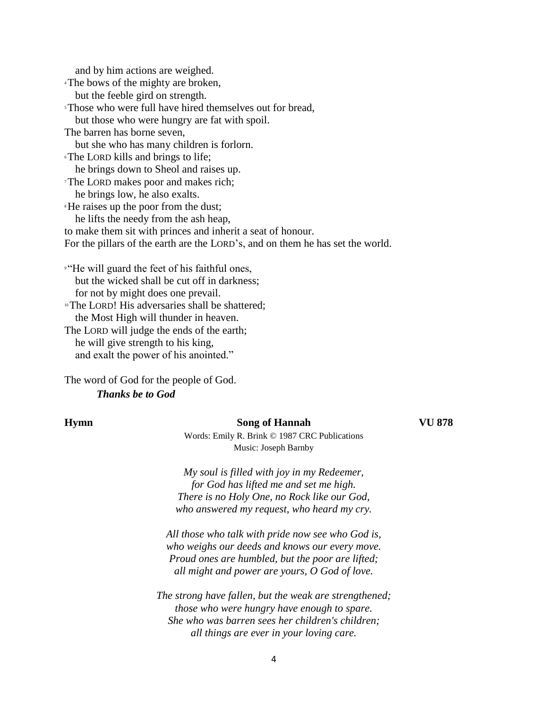and by him actions are weighed. <sup>4</sup>The bows of the mighty are broken, but the feeble gird on strength. <sup>5</sup>Those who were full have hired themselves out for bread, but those who were hungry are fat with spoil. The barren has borne seven, but she who has many children is forlorn. <sup>6</sup>The LORD kills and brings to life; he brings down to Sheol and raises up. <sup>7</sup>The LORD makes poor and makes rich; he brings low, he also exalts. <sup>8</sup>He raises up the poor from the dust; he lifts the needy from the ash heap, to make them sit with princes and inherit a seat of honour. For the pillars of the earth are the LORD's, and on them he has set the world. <sup>9</sup> "He will guard the feet of his faithful ones, but the wicked shall be cut off in darkness;

 for not by might does one prevail. <sup>10</sup>The LORD! His adversaries shall be shattered;

the Most High will thunder in heaven.

The LORD will judge the ends of the earth; he will give strength to his king, and exalt the power of his anointed."

The word of God for the people of God. *Thanks be to God*

### **Hymn Song of Hannah VU 878**

Words: Emily R. Brink © 1987 CRC Publications Music: Joseph Barnby

*My soul is filled with joy in my Redeemer, for God has lifted me and set me high. There is no Holy One, no Rock like our God, who answered my request, who heard my cry.*

*All those who talk with pride now see who God is, who weighs our deeds and knows our every move. Proud ones are humbled, but the poor are lifted; all might and power are yours, O God of love.*

*The strong have fallen, but the weak are strengthened; those who were hungry have enough to spare. She who was barren sees her children's children; all things are ever in your loving care.*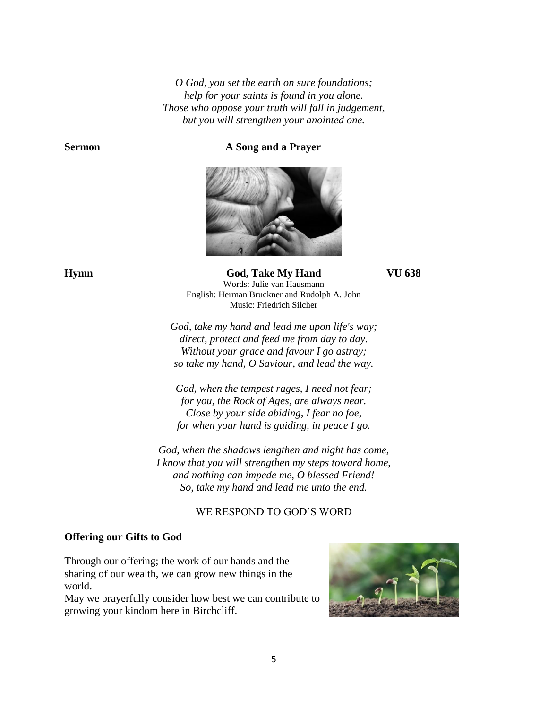*O God, you set the earth on sure foundations; help for your saints is found in you alone. Those who oppose your truth will fall in judgement, but you will strengthen your anointed one.*

**Sermon A Song and a Prayer** 



**Hymn God, Take My Hand VU 638** Words: Julie van Hausmann English: Herman Bruckner and Rudolph A. John Music: Friedrich Silcher

> *God, take my hand and lead me upon life's way; direct, protect and feed me from day to day. Without your grace and favour I go astray; so take my hand, O Saviour, and lead the way.*

*God, when the tempest rages, I need not fear; for you, the Rock of Ages, are always near. Close by your side abiding, I fear no foe, for when your hand is guiding, in peace I go.*

*God, when the shadows lengthen and night has come, I know that you will strengthen my steps toward home, and nothing can impede me, O blessed Friend! So, take my hand and lead me unto the end.*

# WE RESPOND TO GOD'S WORD

### **Offering our Gifts to God**

Through our offering; the work of our hands and the sharing of our wealth, we can grow new things in the world.

May we prayerfully consider how best we can contribute to growing your kindom here in Birchcliff.

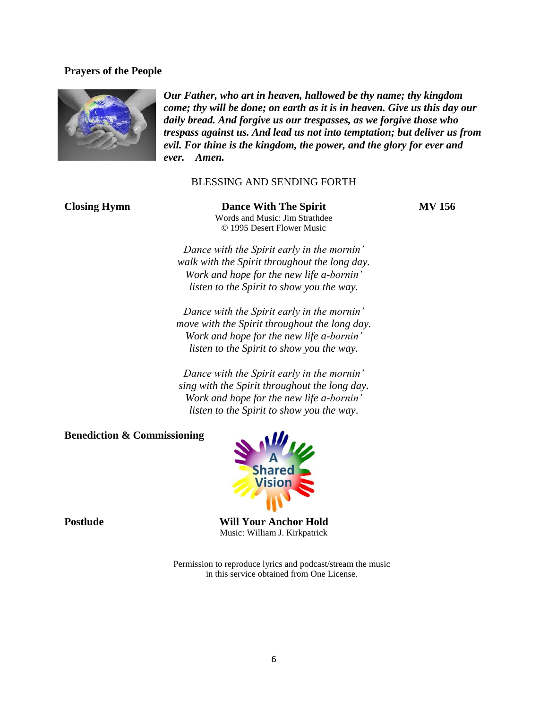## **Prayers of the People**



*Our Father, who art in heaven, hallowed be thy name; thy kingdom come; thy will be done; on earth as it is in heaven. Give us this day our daily bread. And forgive us our trespasses, as we forgive those who trespass against us. And lead us not into temptation; but deliver us from evil. For thine is the kingdom, the power, and the glory for ever and ever. Amen.*

#### BLESSING AND SENDING FORTH

**Closing Hymn Dance With The Spirit MV 156** Words and Music: Jim Strathdee © 1995 Desert Flower Music

*Dance with the Spirit early in the mornin' walk with the Spirit throughout the long day. Work and hope for the new life a-bornin' listen to the Spirit to show you the way.*

*Dance with the Spirit early in the mornin' move with the Spirit throughout the long day. Work and hope for the new life a-bornin' listen to the Spirit to show you the way.*

*Dance with the Spirit early in the mornin' sing with the Spirit throughout the long day. Work and hope for the new life a-bornin' listen to the Spirit to show you the way*.

**Benediction & Commissioning** 



**Postlude Will Your Anchor Hold** Music: William J. Kirkpatrick

> Permission to reproduce lyrics and podcast/stream the music in this service obtained from One License.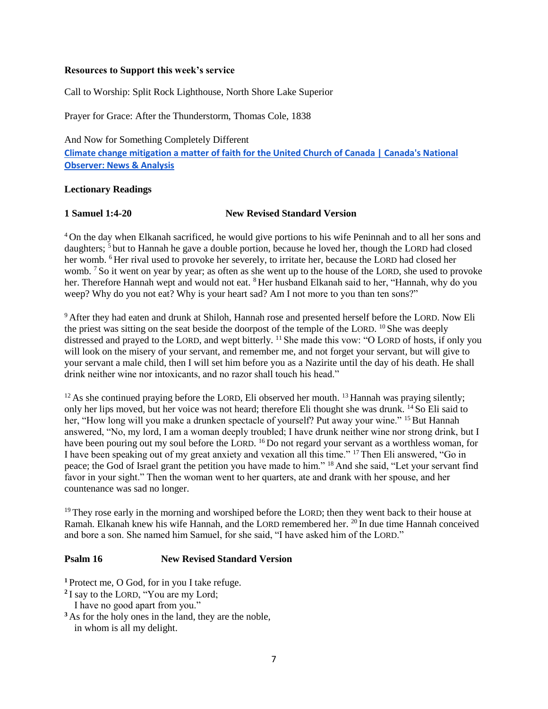#### **Resources to Support this week's service**

Call to Worship: Split Rock Lighthouse, North Shore Lake Superior

Prayer for Grace: After the Thunderstorm, Thomas Cole, 1838

And Now for Something Completely Different **[Climate change mitigation a matter of faith for the United Church of Canada | Canada's National](https://www.nationalobserver.com/2020/12/09/news/climate-change-mitigation-faithful-footprints-united-church-canada)  [Observer: News & Analysis](https://www.nationalobserver.com/2020/12/09/news/climate-change-mitigation-faithful-footprints-united-church-canada)**

## **Lectionary Readings**

## **1 Samuel 1:4-20 New Revised Standard Version**

<sup>4</sup> On the day when Elkanah sacrificed, he would give portions to his wife Peninnah and to all her sons and daughters; <sup>5</sup> but to Hannah he gave a double portion, because he loved her, though the LORD had closed her womb. <sup>6</sup> Her rival used to provoke her severely, to irritate her, because the LORD had closed her womb. <sup>7</sup> So it went on year by year; as often as she went up to the house of the LORD, she used to provoke her. Therefore Hannah wept and would not eat. <sup>8</sup> Her husband Elkanah said to her, "Hannah, why do you weep? Why do you not eat? Why is your heart sad? Am I not more to you than ten sons?"

<sup>9</sup> After they had eaten and drunk at Shiloh, Hannah rose and presented herself before the LORD. Now Eli the priest was sitting on the seat beside the doorpost of the temple of the LORD. <sup>10</sup> She was deeply distressed and prayed to the LORD, and wept bitterly. <sup>11</sup> She made this vow: "O LORD of hosts, if only you will look on the misery of your servant, and remember me, and not forget your servant, but will give to your servant a male child, then I will set him before you as a Nazirite until the day of his death. He shall drink neither wine nor intoxicants, and no razor shall touch his head."

 $12$  As she continued praying before the LORD, Eli observed her mouth.  $13$  Hannah was praying silently; only her lips moved, but her voice was not heard; therefore Eli thought she was drunk. <sup>14</sup> So Eli said to her, "How long will you make a drunken spectacle of yourself? Put away your wine." <sup>15</sup> But Hannah answered, "No, my lord, I am a woman deeply troubled; I have drunk neither wine nor strong drink, but I have been pouring out my soul before the LORD. <sup>16</sup> Do not regard your servant as a worthless woman, for I have been speaking out of my great anxiety and vexation all this time." <sup>17</sup> Then Eli answered, "Go in peace; the God of Israel grant the petition you have made to him." <sup>18</sup> And she said, "Let your servant find favor in your sight." Then the woman went to her quarters, ate and drank with her spouse, and her countenance was sad no longer.

<sup>19</sup> They rose early in the morning and worshiped before the LORD; then they went back to their house at Ramah. Elkanah knew his wife Hannah, and the LORD remembered her. <sup>20</sup> In due time Hannah conceived and bore a son. She named him Samuel, for she said, "I have asked him of the LORD."

# **Psalm 16 New Revised Standard Version**

**<sup>1</sup>** Protect me, O God, for in you I take refuge.

- <sup>2</sup>I say to the LORD, "You are my Lord;
- I have no good apart from you."
- **<sup>3</sup>** As for the holy ones in the land, they are the noble, in whom is all my delight.